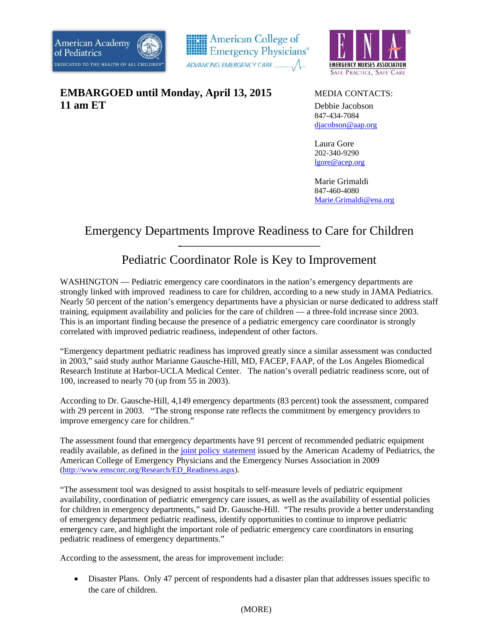



**EMBARGOED until Monday, April 13, 2015** MEDIA CONTACTS: **11 am ET** Debbie Jacobson



 847-434-7084 djacobson@aap.org

Laura Gore 202-340-9290 lgore@acep.org

 Marie Grimaldi 847-460-4080 Marie.Grimaldi@ena.org

## Emergency Departments Improve Readiness to Care for Children

## -——————————— Pediatric Coordinator Role is Key to Improvement

WASHINGTON — Pediatric emergency care coordinators in the nation's emergency departments are strongly linked with improved readiness to care for children, according to a new study in JAMA Pediatrics. Nearly 50 percent of the nation's emergency departments have a physician or nurse dedicated to address staff training, equipment availability and policies for the care of children — a three-fold increase since 2003. This is an important finding because the presence of a pediatric emergency care coordinator is strongly correlated with improved pediatric readiness, independent of other factors.

"Emergency department pediatric readiness has improved greatly since a similar assessment was conducted in 2003," said study author Marianne Gausche-Hill, MD, FACEP, FAAP, of the Los Angeles Biomedical Research Institute at Harbor-UCLA Medical Center. The nation's overall pediatric readiness score, out of 100, increased to nearly 70 (up from 55 in 2003).

According to Dr. Gausche-Hill, 4,149 emergency departments (83 percent) took the assessment, compared with 29 percent in 2003. "The strong response rate reflects the commitment by emergency providers to improve emergency care for children."

The assessment found that emergency departments have 91 percent of recommended pediatric equipment readily available, as defined in the joint policy statement issued by the American Academy of Pediatrics, the American College of Emergency Physicians and the Emergency Nurses Association in 2009 (http://www.emscnrc.org/Research/ED\_Readiness.aspx).

"The assessment tool was designed to assist hospitals to self-measure levels of pediatric equipment availability, coordination of pediatric emergency care issues, as well as the availability of essential policies for children in emergency departments," said Dr. Gausche-Hill. "The results provide a better understanding of emergency department pediatric readiness, identify opportunities to continue to improve pediatric emergency care, and highlight the important role of pediatric emergency care coordinators in ensuring pediatric readiness of emergency departments."

According to the assessment, the areas for improvement include:

 Disaster Plans. Only 47 percent of respondents had a disaster plan that addresses issues specific to the care of children.

## (MORE)